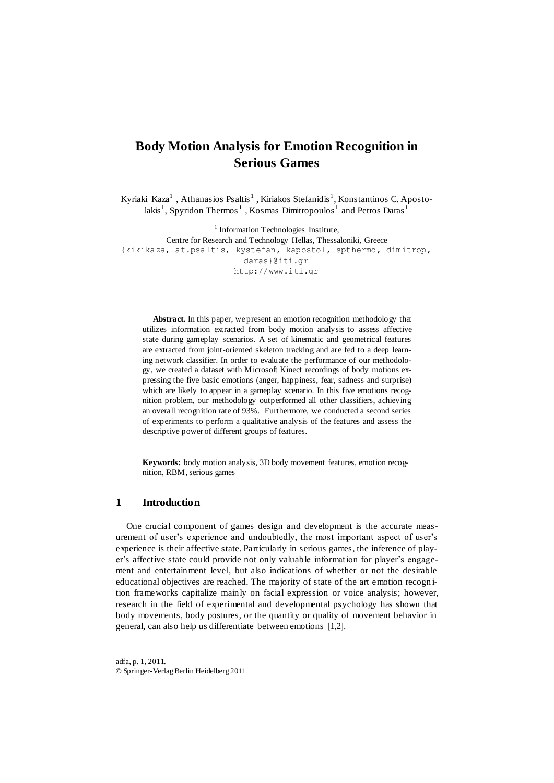# **Body Motion Analysis for Emotion Recognition in Serious Games**

Kyriaki Kaza<sup>1</sup>, Athanasios Psaltis<sup>1</sup>, Kiriakos Stefanidis<sup>1</sup>, Konstantinos C. Apostolakis $^1$ , Spyridon Thermos $^1$  , Kosmas Dimitropoulos $^1$  and Petros Daras $^1$ 

<sup>1</sup> Information Technologies Institute, Centre for Research and Technology Hellas, Thessaloniki, Greece {kikikaza, at.psaltis, kystefan, kapostol, spthermo, dimitrop, [daras}@iti.gr](mailto:daras%7d@iti.gr) http://www.iti.gr

**Abstract.** In this paper, we present an emotion recognition methodology that utilizes information extracted from body motion analysis to assess affective state during gameplay scenarios. A set of kinematic and geometrical features are extracted from joint-oriented skeleton tracking and are fed to a deep learning network classifier. In order to evaluate the performance of our methodology, we created a dataset with Microsoft Kinect recordings of body motions expressing the five basic emotions (anger, happiness, fear, sadness and surprise) which are likely to appear in a gameplay scenario. In this five emotions recognition problem, our methodology outperformed all other classifiers, achieving an overall recognition rate of 93%. Furthermore, we conducted a second series of experiments to perform a qualitative analysis of the features and assess the descriptive power of different groups of features.

**Keywords:** body motion analysis, 3D body movement features, emotion recognition, RBM, serious games

# **1 Introduction**

One crucial component of games design and development is the accurate measurement of user's experience and undoubtedly, the most important aspect of user's experience is their affective state. Particularly in serious games, the inference of player's affective state could provide not only valuable information for player's engagement and entertainment level, but also indications of whether or not the desirable educational objectives are reached. The majority of state of the art emotion recogn ition frameworks capitalize mainly on facial expression or voice analysis; however, research in the field of experimental and developmental psychology has shown that body movements, body postures, or the quantity or quality of movement behavior in general, can also help us differentiate between emotions [1,2].

adfa, p. 1, 2011. © Springer-Verlag Berlin Heidelberg 2011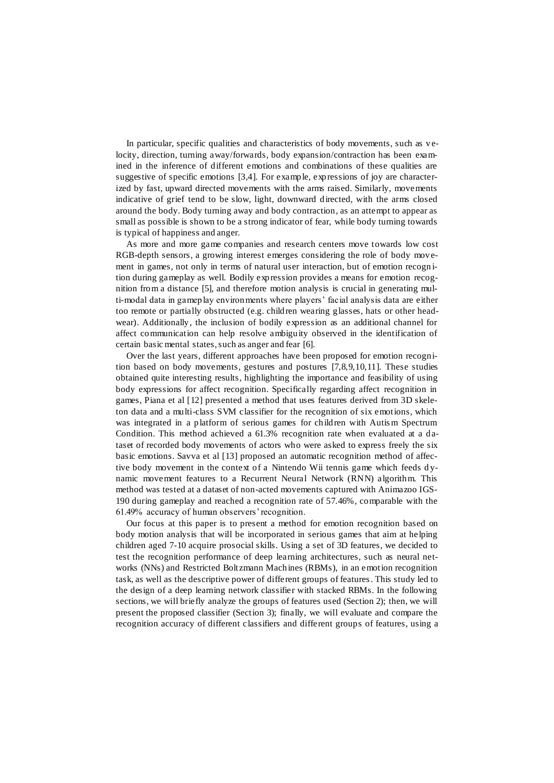In particular, specific qualities and characteristics of body movements, such as velocity, direction, turning away/forwards, body expansion/contraction has been examined in the inference of different emotions and combinations of these qualities are suggestive of specific emotions [3,4]. For example, expressions of joy are characterized by fast, upward directed movements with the arms raised. Similarly, movements indicative of grief tend to be slow, light, downward directed, with the arms closed around the body. Body turning away and body contraction, as an attempt to appear as small as possible is shown to be a strong indicator of fear, while body turning towards is typical of happiness and anger.

As more and more game companies and research centers move towards low cost RGB-depth sensors, a growing interest emerges considering the role of body movement in games, not only in terms of natural user interaction, but of emotion recogn ition during gameplay as well. Bodily expression provides a means for emotion recognition from a distance [5], and therefore motion analysis is crucial in generating multi-modal data in gameplay environments where players' facial analysis data are either too remote or partially obstructed (e.g. children wearing glasses, hats or other headwear). Additionally, the inclusion of bodily expression as an additional channel for affect communication can help resolve ambiguity observed in the identification of certain basic mental states, such as anger and fear [6].

Over the last years, different approaches have been proposed for emotion recognition based on body movements, gestures and postures [7,8,9,10,11]. These studies obtained quite interesting results, highlighting the importance and feasibility of using body expressions for affect recognition. Specifically regarding affect recognition in games, Piana et al [12] presented a method that uses features derived from 3D skeleton data and a multi-class SVM classifier for the recognition of six emotions, which was integrated in a platform of serious games for children with Autis m Spectrum Condition. This method achieved a 61.3% recognition rate when evaluated at a dataset of recorded body movements of actors who were asked to express freely the six basic emotions. Savva et al [13] proposed an automatic recognition method of affective body movement in the context of a Nintendo Wii tennis game which feeds dynamic movement features to a Recurrent Neural Network (RNN) algorithm. This method was tested at a dataset of non-acted movements captured with Animazoo IGS-190 during gameplay and reached a recognition rate of 57.46%, comparable with the 61.49% accuracy of human observers' recognition.

Our focus at this paper is to present a method for emotion recognition based on body motion analysis that will be incorporated in serious games that aim at helping children aged 7-10 acquire prosocial skills. Using a set of 3D features, we decided to test the recognition performance of deep learning architectures, such as neural networks (NNs) and Restricted Boltzmann Machines (RBMs), in an emotion recognition task, as well as the descriptive power of different groups of features. This study led to the design of a deep learning network classifier with stacked RBMs. In the following sections, we will briefly analyze the groups of features used (Section 2); then, we will present the proposed classifier (Section 3); finally, we will evaluate and compare the recognition accuracy of different classifiers and different groups of features, using a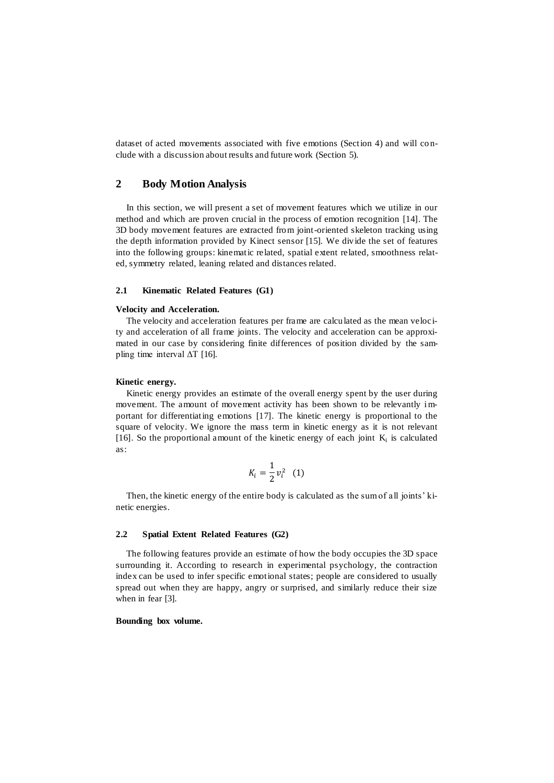dataset of acted movements associated with five emotions (Section 4) and will co nclude with a discussion about results and future work (Section 5).

# **2 Body Motion Analysis**

In this section, we will present a set of movement features which we utilize in our method and which are proven crucial in the process of emotion recognition [14]. The 3D body movement features are extracted from joint-oriented skeleton tracking using the depth information provided by Kinect sensor [15]. We divide the set of features into the following groups: kinematic related, spatial extent related, smoothness related, symmetry related, leaning related and distances related.

## **2.1 Kinematic Related Features (G1)**

#### **Velocity and Acceleration.**

The velocity and acceleration features per frame are calculated as the mean velocity and acceleration of all frame joints. The velocity and acceleration can be approximated in our case by considering finite differences of position divided by the sampling time interval ΔΤ [16].

#### **Kinetic energy.**

Kinetic energy provides an estimate of the overall energy spent by the user during movement. The amount of movement activity has been shown to be relevantly important for differentiating emotions [17]. The kinetic energy is proportional to the square of velocity. We ignore the mass term in kinetic energy as it is not relevant [16]. So the proportional amount of the kinetic energy of each joint  $K_i$  is calculated as:

$$
K_i = \frac{1}{2} v_i^2 \quad (1)
$$

Then, the kinetic energy of the entire body is calculated as the sum of all joints' kinetic energies.

#### **2.2 Spatial Extent Related Features (G2)**

The following features provide an estimate of how the body occupies the 3D space surrounding it. According to research in experimental psychology, the contraction index can be used to infer specific emotional states; people are considered to usually spread out when they are happy, angry or surprised, and similarly reduce their size when in fear [3].

### **Bounding box volume.**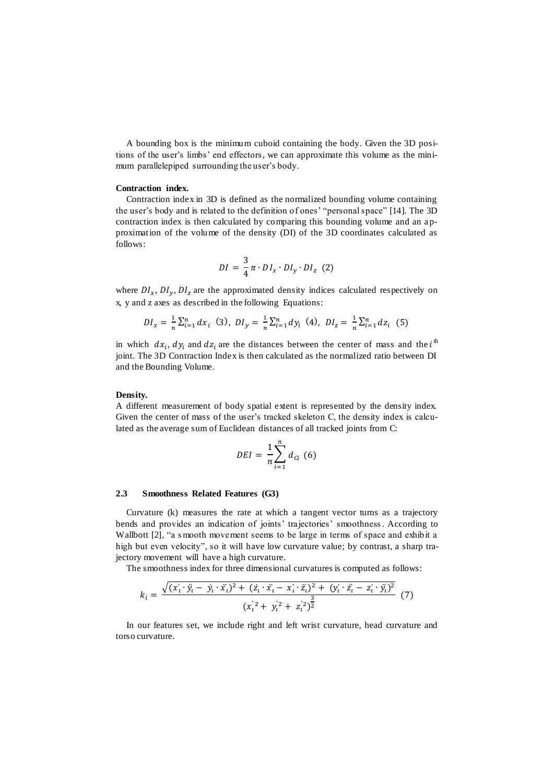A bounding box is the minimum cuboid containing the body. Given the 3D positions of the user's limbs' end effectors, we can approximate this volume as the minimum parallelepiped surrounding the user's body.

### **Contraction index.**

Contraction index in 3D is defined as the normalized bounding volume containing the user's body and is related to the definition of ones' "personal space" [14]. The 3D contraction index is then calculated by comparing this bounding volume and an approximation of the volume of the density (DI) of the 3D coordinates calculated as follows:

$$
DI = \frac{3}{4}\pi \cdot DI_x \cdot DI_y \cdot DI_z \quad (2)
$$

where  $DI_x$ ,  $DI_y$ ,  $DI_z$  are the approximated density indices calculated respectively on x, y and z axes as described in the following Equations:

$$
DI_x = \frac{1}{n} \sum_{i=1}^n dx_i
$$
 (3), 
$$
DI_y = \frac{1}{n} \sum_{i=1}^n dy_i
$$
 (4), 
$$
DI_z = \frac{1}{n} \sum_{i=1}^n dz_i
$$
 (5)

in which  $dx_i$ ,  $dy_i$  and  $dz_i$  are the distances between the center of mass and the  $i^{\text{th}}$ joint. The 3D Contraction Index is then calculated as the normalized ratio between DI and the Bounding Volume.

### **Density.**

A different measurement of body spatial extent is represented by the density index. Given the center of mass of the user's tracked skeleton C, the density index is calculated as the average sum of Euclidean distances of all tracked joints from C:

$$
DEI = \frac{1}{n} \sum_{i=1}^{n} d_{Ci} \ (6)
$$

#### **2.3 Smoothness Related Features (G3)**

Curvature (k) measures the rate at which a tangent vector turns as a trajectory bends and provides an indication of joints' trajectories' smoothness. According to Wallbott [2], "a s mooth movement seems to be large in terms of space and exhibit a high but even velocity", so it will have low curvature value; by contrast, a sharp trajectory movement will have a high curvature.

The smoothness index for three dimensional curvatures is computed as follows:

$$
k_{i} = \frac{\sqrt{(x_{i} \cdot \ddot{y}_{i} - \dot{y}_{i} \cdot \ddot{x}_{i})^{2} + (z_{i} \cdot \ddot{x}_{i} - \dot{x}_{i} \cdot \ddot{z}_{i})^{2} + (y_{i} \cdot \ddot{z}_{i} - \dot{z}_{i} \cdot \ddot{y}_{i})^{2}}{(x_{i}^{2} + y_{i}^{2} + z_{i}^{2})^{2}}}
$$
(7)

In our features set, we include right and left wrist curvature, head curvature and torso curvature.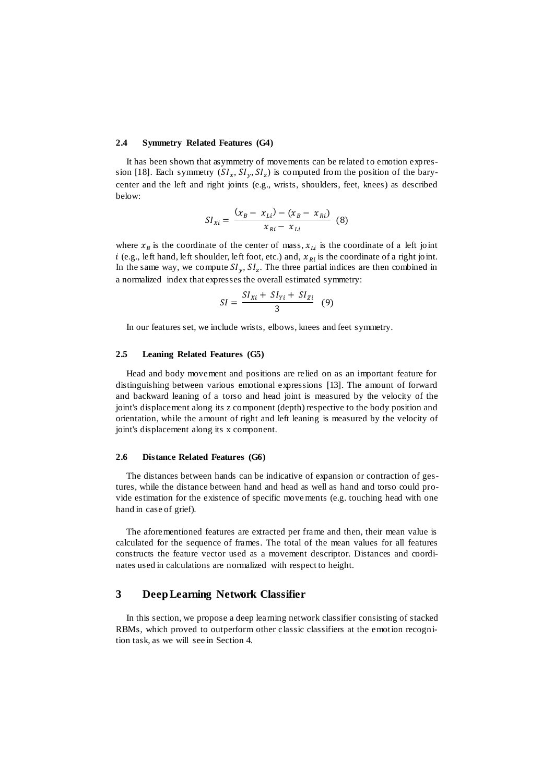#### **2.4 Symmetry Related Features (G4)**

It has been shown that asymmetry of movements can be related to emotion expression [18]. Each symmetry  $(SI_x, SI_y, SI_z)$  is computed from the position of the barycenter and the left and right joints (e.g., wrists, shoulders, feet, knees) as described below:

$$
SI_{Xi} = \frac{(x_B - x_{Li}) - (x_B - x_{Ri})}{x_{Ri} - x_{Li}} \tag{8}
$$

where  $x_B$  is the coordinate of the center of mass,  $x_{Li}$  is the coordinate of a left joint  $i$  (e.g., left hand, left shoulder, left foot, etc.) and,  $x_{Ri}$  is the coordinate of a right joint. In the same way, we compute  $SI_y$ ,  $SI_z$ . The three partial indices are then combined in a normalized index that expresses the overall estimated symmetry:

$$
SI = \frac{SI_{Xi} + SI_{Yi} + SI_{Zi}}{3} \quad (9)
$$

In our features set, we include wrists, elbows, knees and feet symmetry.

### **2.5 Leaning Related Features (G5)**

Head and body movement and positions are relied on as an important feature for distinguishing between various emotional expressions [13]. The amount of forward and backward leaning of a torso and head joint is measured by the velocity of the joint's displacement along its z component (depth) respective to the body position and orientation, while the amount of right and left leaning is measured by the velocity of joint's displacement along its x component.

#### **2.6 Distance Related Features (G6)**

The distances between hands can be indicative of expansion or contraction of gestures, while the distance between hand and head as well as hand and torso could provide estimation for the existence of specific movements (e.g. touching head with one hand in case of grief).

The aforementioned features are extracted per frame and then, their mean value is calculated for the sequence of frames. The total of the mean values for all features constructs the feature vector used as a movement descriptor. Distances and coordinates used in calculations are normalized with respect to height.

# **3 Deep Learning Network Classifier**

In this section, we propose a deep learning network classifier consisting of stacked RBMs, which proved to outperform other classic classifiers at the emotion recognition task, as we will see in Section 4.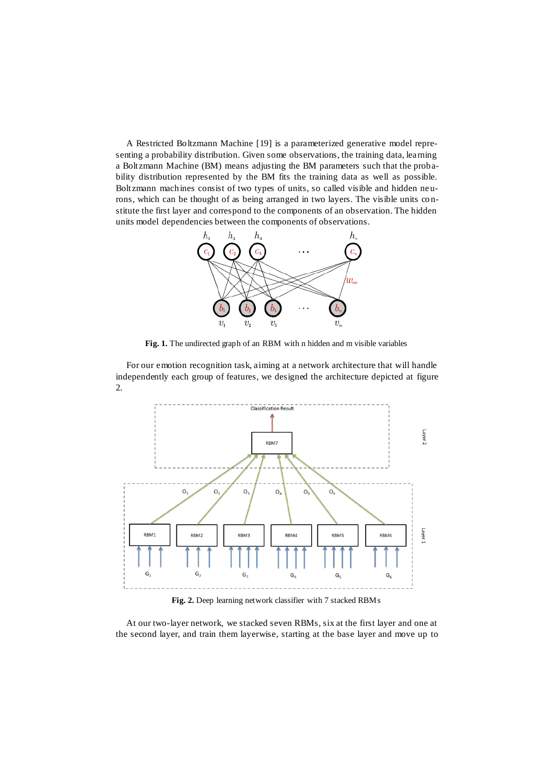A Restricted Boltzmann Machine [19] is a parameterized generative model representing a probability distribution. Given some observations, the training data, learning a Boltzmann Machine (BM) means adjusting the BM parameters such that the probability distribution represented by the BM fits the training data as well as possible. Boltzmann machines consist of two types of units, so called visible and hidden neurons, which can be thought of as being arranged in two layers. The visible units co nstitute the first layer and correspond to the components of an observation. The hidden units model dependencies between the components of observations.



**Fig. 1.** The undirected graph of an RBM with n hidden and m visible variables

For our emotion recognition task, aiming at a network architecture that will handle independently each group of features, we designed the architecture depicted at figure 2.



At our two-layer network, we stacked seven RBMs, six at the first layer and one at the second layer, and train them layerwise, starting at the base layer and move up to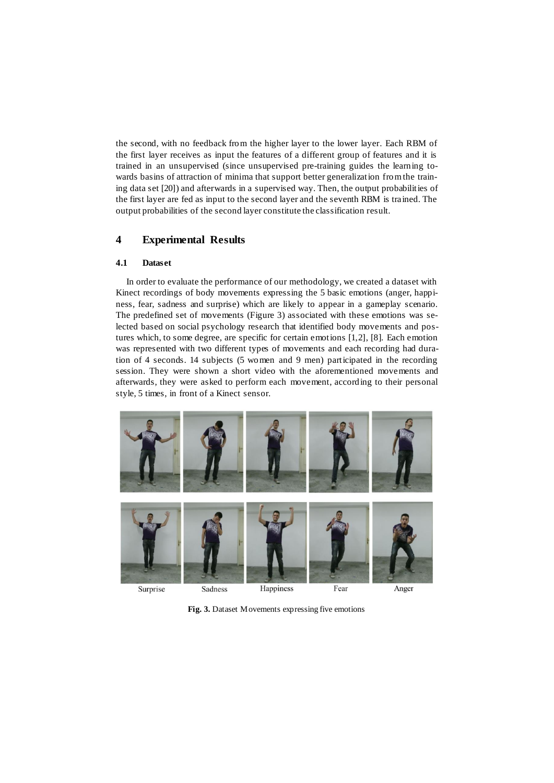the second, with no feedback from the higher layer to the lower layer. Each RBM of the first layer receives as input the features of a different group of features and it is trained in an unsupervised (since unsupervised pre-training guides the learning towards basins of attraction of minima that support better generalization from the training data set [20]) and afterwards in a supervised way. Then, the output probabilities of the first layer are fed as input to the second layer and the seventh RBM is trained. The output probabilities of the second layer constitute the classification result.

# **4 Experimental Results**

### **4.1 Dataset**

In order to evaluate the performance of our methodology, we created a dataset with Kinect recordings of body movements expressing the 5 basic emotions (anger, happiness, fear, sadness and surprise) which are likely to appear in a gameplay scenario. The predefined set of movements (Figure 3) associated with these emotions was selected based on social psychology research that identified body movements and postures which, to some degree, are specific for certain emotions [1,2], [8]. Each emotion was represented with two different types of movements and each recording had duration of 4 seconds. 14 subjects (5 women and 9 men) participated in the recording session. They were shown a short video with the aforementioned movements and afterwards, they were asked to perform each movement, according to their personal style, 5 times, in front of a Kinect sensor.



**Fig. 3.** Dataset Movements expressing five emotions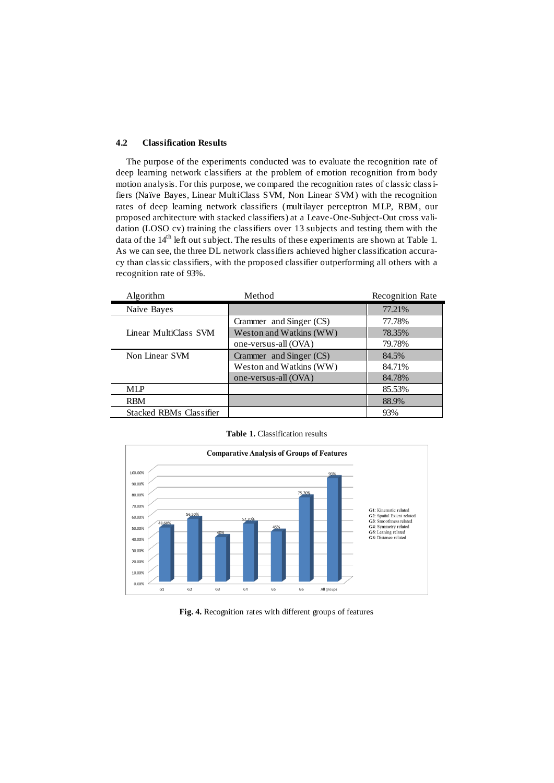### **4.2 Classification Results**

The purpose of the experiments conducted was to evaluate the recognition rate of deep learning network classifiers at the problem of emotion recognition from body motion analysis. For this purpose, we compared the recognition rates of classic classifiers (Naïve Bayes, Linear MultiClass SVM, Non Linear SVM) with the recognition rates of deep learning network classifiers (multilayer perceptron MLP, RBM, our proposed architecture with stacked classifiers) at a Leave-One-Subject-Out cross validation (LOSO cv) training the classifiers over 13 subjects and testing them with the data of the 14<sup>th</sup> left out subject. The results of these experiments are shown at Table 1. As we can see, the three DL network classifiers achieved higher classification accuracy than classic classifiers, with the proposed classifier outperforming all others with a recognition rate of 93%.

| Algorithm               | Method                  | Recognition Rate |
|-------------------------|-------------------------|------------------|
| Naïve Bayes             |                         | 77.21%           |
|                         | Crammer and Singer (CS) | 77.78%           |
| Linear MultiClass SVM   | Weston and Watkins (WW) | 78.35%           |
|                         | one-versus-all (OVA)    | 79.78%           |
| Non Linear SVM          | Crammer and Singer (CS) | 84.5%            |
|                         | Weston and Watkins (WW) | 84.71%           |
|                         | one-versus-all (OVA)    | 84.78%           |
| <b>MLP</b>              |                         | 85.53%           |
| <b>RBM</b>              |                         | 88.9%            |
| Stacked RBMs Classifier |                         | 93%              |

**Table 1.** Classification results



**Fig. 4.** Recognition rates with different groups of features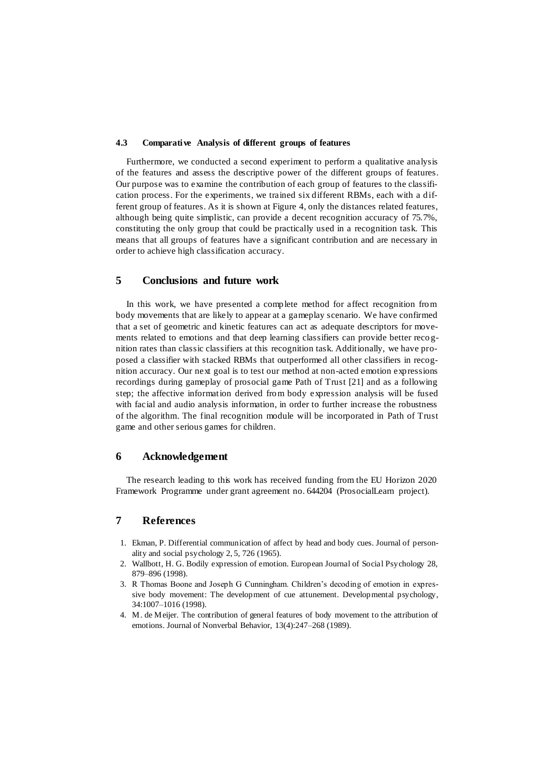#### **4.3 Comparative Analysis of different groups of features**

Furthermore, we conducted a second experiment to perform a qualitative analysis of the features and assess the descriptive power of the different groups of features. Our purpose was to examine the contribution of each group of features to the classification process. For the experiments, we trained six different RBMs, each with a different group of features. As it is shown at Figure 4, only the distances related features, although being quite simplistic, can provide a decent recognition accuracy of 75.7%, constituting the only group that could be practically used in a recognition task. This means that all groups of features have a significant contribution and are necessary in order to achieve high classification accuracy.

# **5 Conclusions and future work**

In this work, we have presented a complete method for affect recognition from body movements that are likely to appear at a gameplay scenario. We have confirmed that a set of geometric and kinetic features can act as adequate descriptors for movements related to emotions and that deep learning classifiers can provide better reco gnition rates than classic classifiers at this recognition task. Additionally, we have proposed a classifier with stacked RBMs that outperformed all other classifiers in recognition accuracy. Our next goal is to test our method at non-acted emotion expressions recordings during gameplay of prosocial game Path of Trust [21] and as a following step; the affective information derived from body expression analysis will be fused with facial and audio analysis information, in order to further increase the robustness of the algorithm. The final recognition module will be incorporated in Path of Trust game and other serious games for children.

### **6 Acknowledgement**

The research leading to this work has received funding from the EU Horizon 2020 Framework Programme under grant agreement no. 644204 (ProsocialLearn project).

# **7 References**

- 1. Ekman, P. Differential communication of affect by head and body cues. Journal of personality and social psychology 2, 5, 726 (1965).
- 2. Wallbott, H. G. Bodily expression of emotion. European Journal of Social Psychology 28, 879–896 (1998).
- 3. R Thomas Boone and Joseph G Cunningham. Children's decoding of emotion in expressive body movement: The development of cue attunement. Developmental psychology, 34:1007–1016 (1998).
- 4. M. de Meijer. The contribution of general features of body movement to the attribution of emotions. Journal of Nonverbal Behavior, 13(4):247–268 (1989).